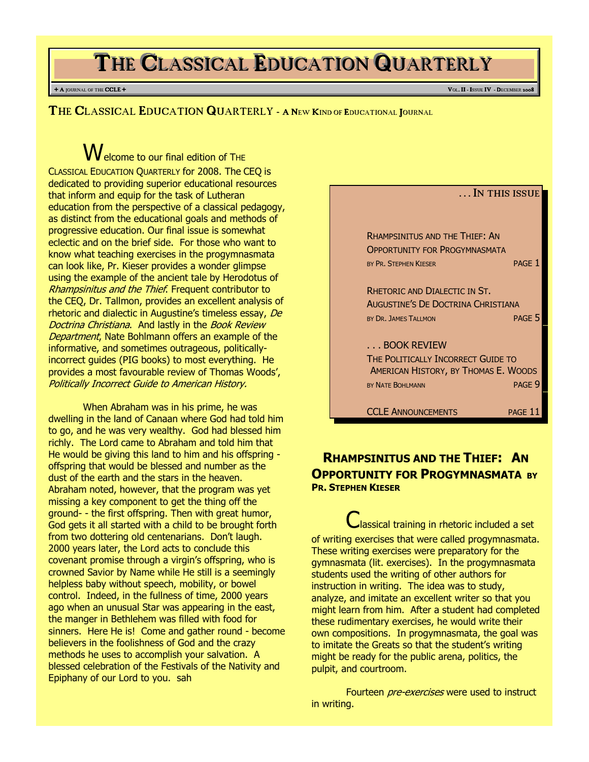# THE CLASSICAL EDUCATION QUARTERLY

#### + A JOURNAL OF THE CCLE + VOL. II - ISSUE IV - DECEMBER 2

THE CLASSICAL EDUCATION QUARTERLY - A NEW KIND OF EDUCATIONAL JOURNAL

 $\bigvee$ elcome to our final edition of THE CLASSICAL EDUCATION QUARTERLY for 2008. The CEQ is dedicated to providing superior educational resources that inform and equip for the task of Lutheran education from the perspective of a classical pedagogy, as distinct from the educational goals and methods of progressive education. Our final issue is somewhat eclectic and on the brief side. For those who want to know what teaching exercises in the progymnasmata can look like, Pr. Kieser provides a wonder glimpse using the example of the ancient tale by Herodotus of Rhampsinitus and the Thief. Frequent contributor to the CEQ, Dr. Tallmon, provides an excellent analysis of rhetoric and dialectic in Augustine's timeless essay, De Doctrina Christiana. And lastly in the Book Review Department, Nate Bohlmann offers an example of the informative, and sometimes outrageous, politicallyincorrect guides (PIG books) to most everything. He provides a most favourable review of Thomas Woods', Politically Incorrect Guide to American History.

When Abraham was in his prime, he was dwelling in the land of Canaan where God had told him to go, and he was very wealthy. God had blessed him richly. The Lord came to Abraham and told him that He would be giving this land to him and his offspring offspring that would be blessed and number as the dust of the earth and the stars in the heaven. Abraham noted, however, that the program was yet missing a key component to get the thing off the ground- - the first offspring. Then with great humor, God gets it all started with a child to be brought forth from two dottering old centenarians. Don't laugh. 2000 years later, the Lord acts to conclude this covenant promise through a virgin's offspring, who is crowned Savior by Name while He still is a seemingly helpless baby without speech, mobility, or bowel control. Indeed, in the fullness of time, 2000 years ago when an unusual Star was appearing in the east, the manger in Bethlehem was filled with food for sinners. Here He is! Come and gather round - become believers in the foolishness of God and the crazy methods he uses to accomplish your salvation. A blessed celebration of the Festivals of the Nativity and Epiphany of our Lord to you. sah



## RHAMPSINITUS AND THE THIEF: AN **OPPORTUNITY FOR PROGYMNASMATA BY** PR. STEPHEN KIESER

Classical training in rhetoric included a set of writing exercises that were called progymnasmata. These writing exercises were preparatory for the gymnasmata (lit. exercises). In the progymnasmata students used the writing of other authors for instruction in writing. The idea was to study, analyze, and imitate an excellent writer so that you might learn from him. After a student had completed these rudimentary exercises, he would write their own compositions. In progymnasmata, the goal was to imitate the Greats so that the student's writing might be ready for the public arena, politics, the pulpit, and courtroom.

Fourteen *pre-exercises* were used to instruct in writing.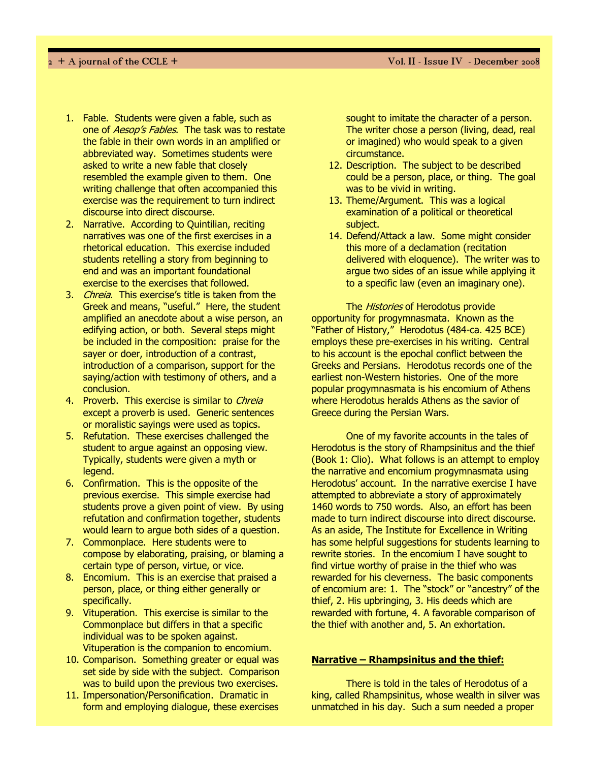- 1. Fable. Students were given a fable, such as one of *Aesop's Fables*. The task was to restate the fable in their own words in an amplified or abbreviated way. Sometimes students were asked to write a new fable that closely resembled the example given to them. One writing challenge that often accompanied this exercise was the requirement to turn indirect discourse into direct discourse.
- 2. Narrative. According to Quintilian, reciting narratives was one of the first exercises in a rhetorical education. This exercise included students retelling a story from beginning to end and was an important foundational exercise to the exercises that followed.
- 3. *Chreia*. This exercise's title is taken from the Greek and means, "useful." Here, the student amplified an anecdote about a wise person, an edifying action, or both. Several steps might be included in the composition: praise for the sayer or doer, introduction of a contrast, introduction of a comparison, support for the saying/action with testimony of others, and a conclusion.
- 4. Proverb. This exercise is similar to Chreia except a proverb is used. Generic sentences or moralistic sayings were used as topics.
- 5. Refutation. These exercises challenged the student to argue against an opposing view. Typically, students were given a myth or legend.
- 6. Confirmation. This is the opposite of the previous exercise. This simple exercise had students prove a given point of view. By using refutation and confirmation together, students would learn to argue both sides of a question.
- 7. Commonplace. Here students were to compose by elaborating, praising, or blaming a certain type of person, virtue, or vice.
- 8. Encomium. This is an exercise that praised a person, place, or thing either generally or specifically.
- 9. Vituperation. This exercise is similar to the Commonplace but differs in that a specific individual was to be spoken against. Vituperation is the companion to encomium.
- 10. Comparison. Something greater or equal was set side by side with the subject. Comparison was to build upon the previous two exercises.
- 11. Impersonation/Personification. Dramatic in form and employing dialogue, these exercises

sought to imitate the character of a person. The writer chose a person (living, dead, real or imagined) who would speak to a given circumstance.

- 12. Description. The subject to be described could be a person, place, or thing. The goal was to be vivid in writing.
- 13. Theme/Argument. This was a logical examination of a political or theoretical subject.
- 14. Defend/Attack a law. Some might consider this more of a declamation (recitation delivered with eloquence). The writer was to argue two sides of an issue while applying it to a specific law (even an imaginary one).

The *Histories* of Herodotus provide opportunity for progymnasmata. Known as the "Father of History," Herodotus (484-ca. 425 BCE) employs these pre-exercises in his writing. Central to his account is the epochal conflict between the Greeks and Persians. Herodotus records one of the earliest non-Western histories. One of the more popular progymnasmata is his encomium of Athens where Herodotus heralds Athens as the savior of Greece during the Persian Wars.

One of my favorite accounts in the tales of Herodotus is the story of Rhampsinitus and the thief (Book 1: Clio). What follows is an attempt to employ the narrative and encomium progymnasmata using Herodotus' account. In the narrative exercise I have attempted to abbreviate a story of approximately 1460 words to 750 words. Also, an effort has been made to turn indirect discourse into direct discourse. As an aside, The Institute for Excellence in Writing has some helpful suggestions for students learning to rewrite stories. In the encomium I have sought to find virtue worthy of praise in the thief who was rewarded for his cleverness. The basic components of encomium are: 1. The "stock" or "ancestry" of the thief, 2. His upbringing, 3. His deeds which are rewarded with fortune, 4. A favorable comparison of the thief with another and, 5. An exhortation.

### Narrative – Rhampsinitus and the thief:

There is told in the tales of Herodotus of a king, called Rhampsinitus, whose wealth in silver was unmatched in his day. Such a sum needed a proper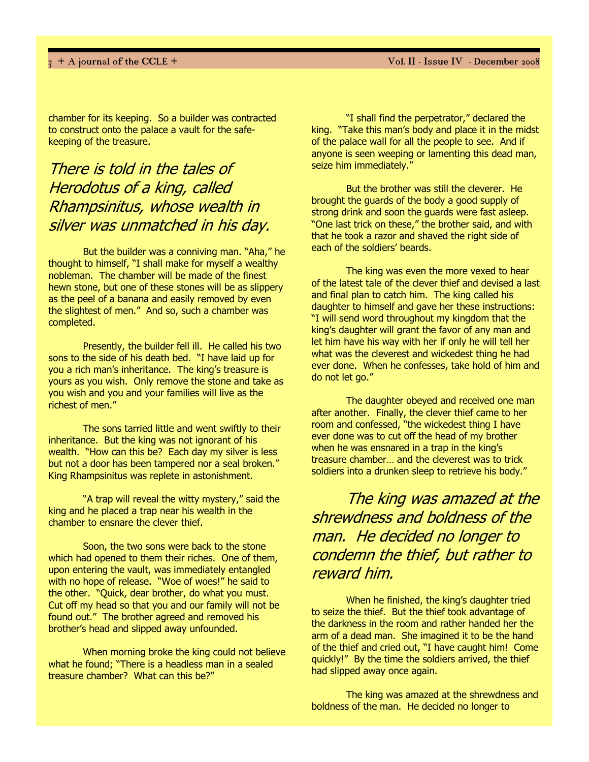chamber for its keeping. So a builder was contracted to construct onto the palace a vault for the safekeeping of the treasure.

# There is told in the tales of Herodotus of a king, called Rhampsinitus, whose wealth in silver was unmatched in his day.

But the builder was a conniving man. "Aha," he thought to himself, "I shall make for myself a wealthy nobleman. The chamber will be made of the finest hewn stone, but one of these stones will be as slippery as the peel of a banana and easily removed by even the slightest of men." And so, such a chamber was completed.

Presently, the builder fell ill. He called his two sons to the side of his death bed. "I have laid up for you a rich man's inheritance. The king's treasure is yours as you wish. Only remove the stone and take as you wish and you and your families will live as the richest of men."

The sons tarried little and went swiftly to their inheritance. But the king was not ignorant of his wealth. "How can this be? Each day my silver is less but not a door has been tampered nor a seal broken." King Rhampsinitus was replete in astonishment.

"A trap will reveal the witty mystery," said the king and he placed a trap near his wealth in the chamber to ensnare the clever thief.

Soon, the two sons were back to the stone which had opened to them their riches. One of them, upon entering the vault, was immediately entangled with no hope of release. "Woe of woes!" he said to the other. "Quick, dear brother, do what you must. Cut off my head so that you and our family will not be found out." The brother agreed and removed his brother's head and slipped away unfounded.

When morning broke the king could not believe what he found; "There is a headless man in a sealed treasure chamber? What can this be?"

"I shall find the perpetrator," declared the king. "Take this man's body and place it in the midst of the palace wall for all the people to see. And if anyone is seen weeping or lamenting this dead man, seize him immediately."

But the brother was still the cleverer. He brought the guards of the body a good supply of strong drink and soon the guards were fast asleep. "One last trick on these," the brother said, and with that he took a razor and shaved the right side of each of the soldiers' beards.

The king was even the more vexed to hear of the latest tale of the clever thief and devised a last and final plan to catch him. The king called his daughter to himself and gave her these instructions: "I will send word throughout my kingdom that the king's daughter will grant the favor of any man and let him have his way with her if only he will tell her what was the cleverest and wickedest thing he had ever done. When he confesses, take hold of him and do not let go."

The daughter obeyed and received one man after another. Finally, the clever thief came to her room and confessed, "the wickedest thing I have ever done was to cut off the head of my brother when he was ensnared in a trap in the king's treasure chamber… and the cleverest was to trick soldiers into a drunken sleep to retrieve his body."

The king was amazed at the shrewdness and boldness of the man. He decided no longer to condemn the thief, but rather to reward him.

When he finished, the king's daughter tried to seize the thief. But the thief took advantage of the darkness in the room and rather handed her the arm of a dead man. She imagined it to be the hand of the thief and cried out, "I have caught him! Come quickly!" By the time the soldiers arrived, the thief had slipped away once again.

The king was amazed at the shrewdness and boldness of the man. He decided no longer to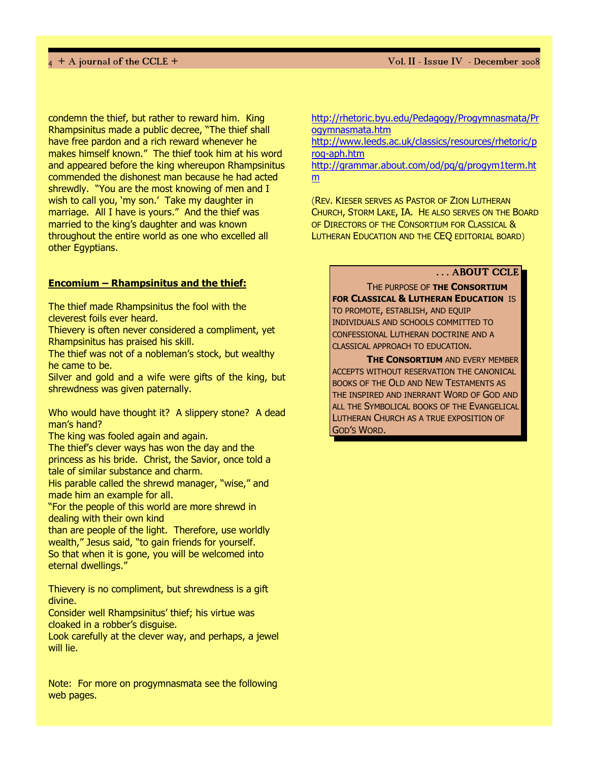$4 + A$  journal of the CCLE +  $V$ ol. II - Issue IV  $\,$  - December  $2008$ 

condemn the thief, but rather to reward him. King Rhampsinitus made a public decree, "The thief shall have free pardon and a rich reward whenever he makes himself known." The thief took him at his word and appeared before the king whereupon Rhampsinitus commended the dishonest man because he had acted shrewdly. "You are the most knowing of men and I wish to call you, 'my son.' Take my daughter in marriage. All I have is yours." And the thief was married to the king's daughter and was known throughout the entire world as one who excelled all other Egyptians.

### Encomium – Rhampsinitus and the thief:

The thief made Rhampsinitus the fool with the cleverest foils ever heard.

Thievery is often never considered a compliment, yet Rhampsinitus has praised his skill.

The thief was not of a nobleman's stock, but wealthy he came to be.

Silver and gold and a wife were gifts of the king, but shrewdness was given paternally.

Who would have thought it? A slippery stone? A dead man's hand?

The king was fooled again and again.

The thief's clever ways has won the day and the princess as his bride. Christ, the Savior, once told a tale of similar substance and charm.

His parable called the shrewd manager, "wise," and made him an example for all.

"For the people of this world are more shrewd in dealing with their own kind

than are people of the light. Therefore, use worldly wealth," Jesus said, "to gain friends for yourself. So that when it is gone, you will be welcomed into eternal dwellings."

Thievery is no compliment, but shrewdness is a gift divine.

Consider well Rhampsinitus' thief; his virtue was cloaked in a robber's disguise.

Look carefully at the clever way, and perhaps, a jewel will lie.

Note: For more on progymnasmata see the following web pages.

http://rhetoric.byu.edu/Pedagogy/Progymnasmata/Pr ogymnasmata.htm

http://www.leeds.ac.uk/classics/resources/rhetoric/p rog-aph.htm

http://grammar.about.com/od/pq/g/progym1term.ht m

(REV. KIESER SERVES AS PASTOR OF ZION LUTHERAN CHURCH, STORM LAKE, IA. HE ALSO SERVES ON THE BOARD OF DIRECTORS OF THE CONSORTIUM FOR CLASSICAL & LUTHERAN EDUCATION AND THE CEQ EDITORIAL BOARD)

### ... ABOUT CCLE

THE PURPOSE OF THE CONSORTIUM FOR CLASSICAL & LUTHERAN EDUCATION IS TO PROMOTE, ESTABLISH, AND EQUIP INDIVIDUALS AND SCHOOLS COMMITTED TO CONFESSIONAL LUTHERAN DOCTRINE AND A CLASSICAL APPROACH TO EDUCATION.

**THE CONSORTIUM AND EVERY MEMBER** ACCEPTS WITHOUT RESERVATION THE CANONICAL BOOKS OF THE OLD AND NEW TESTAMENTS AS THE INSPIRED AND INERRANT WORD OF GOD AND ALL THE SYMBOLICAL BOOKS OF THE EVANGELICAL LUTHERAN CHURCH AS A TRUE EXPOSITION OF GOD'S WORD.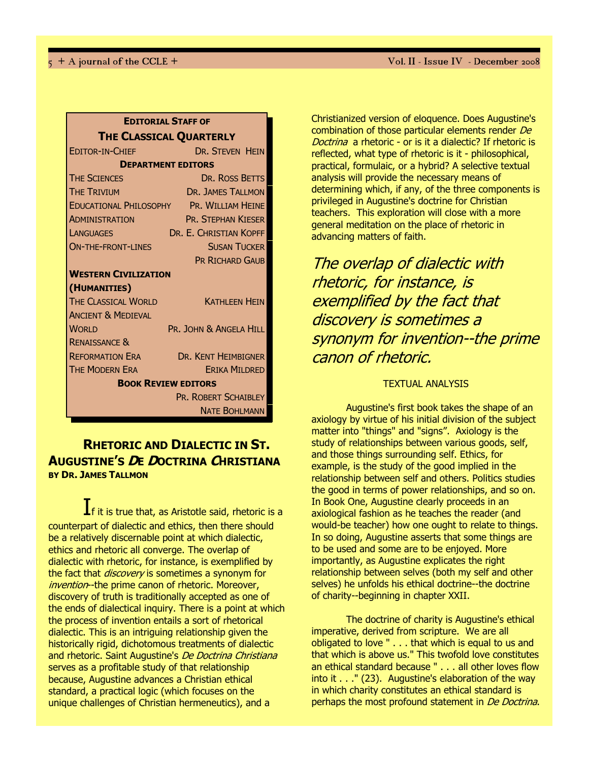| <b>EDITORIAL STAFF OF</b>                                               |
|-------------------------------------------------------------------------|
| <b>THE CLASSICAL QUARTERLY</b>                                          |
| <b>DR. STEVEN HEIN</b><br><b>EDITOR-IN-CHIFF</b>                        |
| <b>DEPARTMENT EDITORS</b>                                               |
| <b>THE SCIENCES</b><br>DR. ROSS BETTS                                   |
| <b>THE TRIVIUM</b><br>DR. JAMES TALLMON                                 |
| EDUCATIONAL PHILOSOPHY PR. WILLIAM HEINE                                |
| <b>CONTRACTOR</b><br><b>PR. STEPHAN KIESER</b><br><b>ADMINISTRATION</b> |
| DR. E. CHRISTIAN KOPFF<br><b>LANGUAGES</b>                              |
| <b>SUSAN TUCKER</b><br><b>ON-THE-FRONT-LINES</b>                        |
| <b>PR RICHARD GAUB</b>                                                  |
| <b>WESTERN CIVILIZATION</b>                                             |
| (HUMANITIES)                                                            |
| THE CLASSICAL WORLD<br><b>KATHI FFN HFIN</b>                            |
| <b>ANCIENT &amp; MEDIEVAL</b>                                           |
| <b>WORLD</b><br>PR. JOHN & ANGELA HILL                                  |
| <b>RENAISSANCE &amp;</b>                                                |
| <b>Example 12 DR. KENT HEIMBIGNER</b><br><b>REFORMATION ERA</b>         |
| <b>THE MODERN ERA</b><br><b>ERIKA MILDRED</b>                           |
| <b>BOOK REVIEW EDITORS</b>                                              |
| PR. ROBERT SCHAIBLEY                                                    |
| <b>NATE BOHLMANN</b>                                                    |

## RHETORIC AND DIALECTIC IN ST. AUGUSTINE'S DE DOCTRINA CHRISTIANA BY DR. JAMES TALLMON

 $\mathbf I$ f it is true that, as Aristotle said, rhetoric is a counterpart of dialectic and ethics, then there should be a relatively discernable point at which dialectic, ethics and rhetoric all converge. The overlap of dialectic with rhetoric, for instance, is exemplified by the fact that *discovery* is sometimes a synonym for invention--the prime canon of rhetoric. Moreover, discovery of truth is traditionally accepted as one of the ends of dialectical inquiry. There is a point at which the process of invention entails a sort of rhetorical dialectic. This is an intriguing relationship given the historically rigid, dichotomous treatments of dialectic and rhetoric. Saint Augustine's De Doctrina Christiana serves as a profitable study of that relationship because, Augustine advances a Christian ethical standard, a practical logic (which focuses on the unique challenges of Christian hermeneutics), and a

Christianized version of eloquence. Does Augustine's combination of those particular elements render De Doctrina a rhetoric - or is it a dialectic? If rhetoric is reflected, what type of rhetoric is it - philosophical, practical, formulaic, or a hybrid? A selective textual analysis will provide the necessary means of determining which, if any, of the three components is privileged in Augustine's doctrine for Christian teachers. This exploration will close with a more general meditation on the place of rhetoric in advancing matters of faith.

# The overlap of dialectic with rhetoric, for instance, is exemplified by the fact that discovery is sometimes a synonym for invention--the prime canon of rhetoric.

### TEXTUAL ANALYSIS

Augustine's first book takes the shape of an axiology by virtue of his initial division of the subject matter into "things" and "signs". Axiology is the study of relationships between various goods, self, and those things surrounding self. Ethics, for example, is the study of the good implied in the relationship between self and others. Politics studies the good in terms of power relationships, and so on. In Book One, Augustine clearly proceeds in an axiological fashion as he teaches the reader (and would-be teacher) how one ought to relate to things. In so doing, Augustine asserts that some things are to be used and some are to be enjoyed. More importantly, as Augustine explicates the right relationship between selves (both my self and other selves) he unfolds his ethical doctrine--the doctrine of charity--beginning in chapter XXII.

The doctrine of charity is Augustine's ethical imperative, derived from scripture. We are all obligated to love " . . . that which is equal to us and that which is above us." This twofold love constitutes an ethical standard because " . . . all other loves flow into it . . ." (23). Augustine's elaboration of the way in which charity constitutes an ethical standard is perhaps the most profound statement in De Doctrina.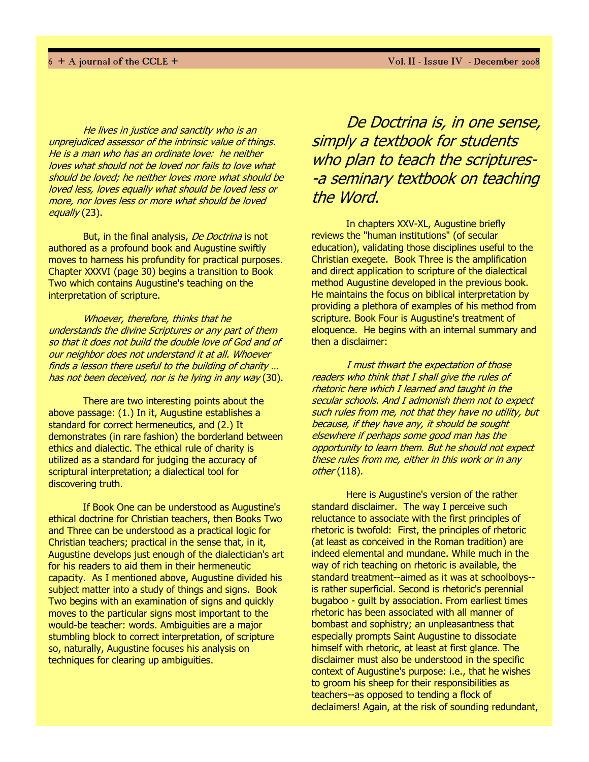He lives in justice and sanctity who is an unprejudiced assessor of the intrinsic value of things. He is a man who has an ordinate love: he neither loves what should not be loved nor fails to love what should be loved; he neither loves more what should be loved less, loves equally what should be loved less or more, nor loves less or more what should be loved equally (23).

But, in the final analysis, De Doctrina is not authored as a profound book and Augustine swiftly moves to harness his profundity for practical purposes. Chapter XXXVI (page 30) begins a transition to Book Two which contains Augustine's teaching on the interpretation of scripture.

Whoever, therefore, thinks that he understands the divine Scriptures or any part of them so that it does not build the double love of God and of our neighbor does not understand it at all. Whoever finds a lesson there useful to the building of charity … has not been deceived, nor is he lying in any way (30).

There are two interesting points about the above passage: (1.) In it, Augustine establishes a standard for correct hermeneutics, and (2.) It demonstrates (in rare fashion) the borderland between ethics and dialectic. The ethical rule of charity is utilized as a standard for judging the accuracy of scriptural interpretation; a dialectical tool for discovering truth.

If Book One can be understood as Augustine's ethical doctrine for Christian teachers, then Books Two and Three can be understood as a practical logic for Christian teachers; practical in the sense that, in it, Augustine develops just enough of the dialectician's art for his readers to aid them in their hermeneutic capacity. As I mentioned above, Augustine divided his subject matter into a study of things and signs. Book Two begins with an examination of signs and quickly moves to the particular signs most important to the would-be teacher: words. Ambiguities are a major stumbling block to correct interpretation, of scripture so, naturally, Augustine focuses his analysis on techniques for clearing up ambiguities.

De Doctrina is, in one sense, simply a textbook for students who plan to teach the scriptures--a seminary textbook on teaching the Word.

In chapters XXV-XL, Augustine briefly reviews the "human institutions" (of secular education), validating those disciplines useful to the Christian exegete. Book Three is the amplification and direct application to scripture of the dialectical method Augustine developed in the previous book. He maintains the focus on biblical interpretation by providing a plethora of examples of his method from scripture. Book Four is Augustine's treatment of eloquence. He begins with an internal summary and then a disclaimer:

I must thwart the expectation of those readers who think that I shall give the rules of rhetoric here which I learned and taught in the secular schools. And I admonish them not to expect such rules from me, not that they have no utility, but because, if they have any, it should be sought elsewhere if perhaps some good man has the opportunity to learn them. But he should not expect these rules from me, either in this work or in any other (118).

Here is Augustine's version of the rather standard disclaimer. The way I perceive such reluctance to associate with the first principles of rhetoric is twofold: First, the principles of rhetoric (at least as conceived in the Roman tradition) are indeed elemental and mundane. While much in the way of rich teaching on rhetoric is available, the standard treatment--aimed as it was at schoolboys- is rather superficial. Second is rhetoric's perennial bugaboo - guilt by association. From earliest times rhetoric has been associated with all manner of bombast and sophistry; an unpleasantness that especially prompts Saint Augustine to dissociate himself with rhetoric, at least at first glance. The disclaimer must also be understood in the specific context of Augustine's purpose: i.e., that he wishes to groom his sheep for their responsibilities as teachers--as opposed to tending a flock of declaimers! Again, at the risk of sounding redundant,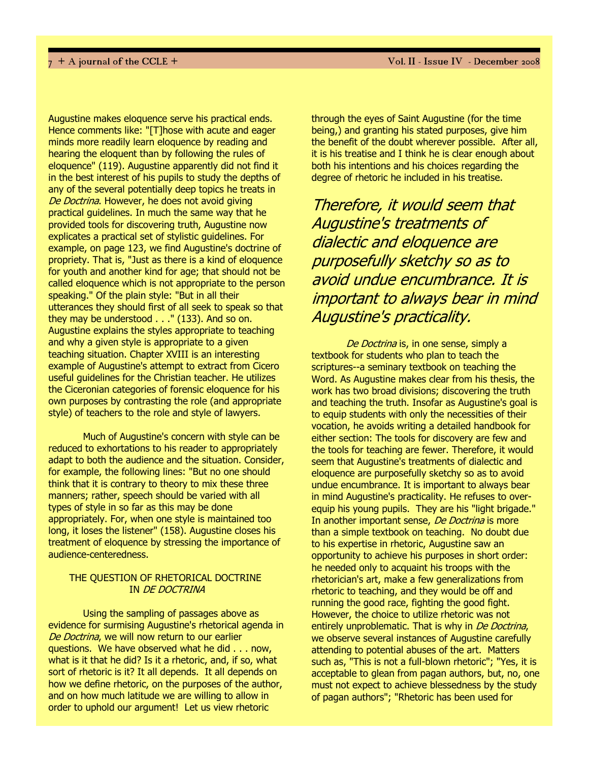Augustine makes eloquence serve his practical ends. Hence comments like: "[T]hose with acute and eager minds more readily learn eloquence by reading and hearing the eloquent than by following the rules of eloquence" (119). Augustine apparently did not find it in the best interest of his pupils to study the depths of any of the several potentially deep topics he treats in De Doctrina. However, he does not avoid giving practical guidelines. In much the same way that he provided tools for discovering truth, Augustine now explicates a practical set of stylistic guidelines. For example, on page 123, we find Augustine's doctrine of propriety. That is, "Just as there is a kind of eloquence for youth and another kind for age; that should not be called eloquence which is not appropriate to the person speaking." Of the plain style: "But in all their utterances they should first of all seek to speak so that they may be understood . . ." (133). And so on. Augustine explains the styles appropriate to teaching and why a given style is appropriate to a given teaching situation. Chapter XVIII is an interesting example of Augustine's attempt to extract from Cicero useful guidelines for the Christian teacher. He utilizes the Ciceronian categories of forensic eloquence for his own purposes by contrasting the role (and appropriate style) of teachers to the role and style of lawyers.

Much of Augustine's concern with style can be reduced to exhortations to his reader to appropriately adapt to both the audience and the situation. Consider, for example, the following lines: "But no one should think that it is contrary to theory to mix these three manners; rather, speech should be varied with all types of style in so far as this may be done appropriately. For, when one style is maintained too long, it loses the listener" (158). Augustine closes his treatment of eloquence by stressing the importance of audience-centeredness.

### THE QUESTION OF RHETORICAL DOCTRINE IN DE DOCTRINA

Using the sampling of passages above as evidence for surmising Augustine's rhetorical agenda in De Doctrina, we will now return to our earlier questions. We have observed what he did . . . now, what is it that he did? Is it a rhetoric, and, if so, what sort of rhetoric is it? It all depends. It all depends on how we define rhetoric, on the purposes of the author, and on how much latitude we are willing to allow in order to uphold our argument! Let us view rhetoric

through the eyes of Saint Augustine (for the time being,) and granting his stated purposes, give him the benefit of the doubt wherever possible. After all, it is his treatise and I think he is clear enough about both his intentions and his choices regarding the degree of rhetoric he included in his treatise.

Therefore, it would seem that Augustine's treatments of dialectic and eloquence are purposefully sketchy so as to avoid undue encumbrance. It is important to always bear in mind Augustine's practicality.

De Doctrina is, in one sense, simply a textbook for students who plan to teach the scriptures--a seminary textbook on teaching the Word. As Augustine makes clear from his thesis, the work has two broad divisions; discovering the truth and teaching the truth. Insofar as Augustine's goal is to equip students with only the necessities of their vocation, he avoids writing a detailed handbook for either section: The tools for discovery are few and the tools for teaching are fewer. Therefore, it would seem that Augustine's treatments of dialectic and eloquence are purposefully sketchy so as to avoid undue encumbrance. It is important to always bear in mind Augustine's practicality. He refuses to overequip his young pupils. They are his "light brigade." In another important sense, *De Doctrina* is more than a simple textbook on teaching. No doubt due to his expertise in rhetoric, Augustine saw an opportunity to achieve his purposes in short order: he needed only to acquaint his troops with the rhetorician's art, make a few generalizations from rhetoric to teaching, and they would be off and running the good race, fighting the good fight. However, the choice to utilize rhetoric was not entirely unproblematic. That is why in De Doctrina, we observe several instances of Augustine carefully attending to potential abuses of the art. Matters such as, "This is not a full-blown rhetoric"; "Yes, it is acceptable to glean from pagan authors, but, no, one must not expect to achieve blessedness by the study of pagan authors"; "Rhetoric has been used for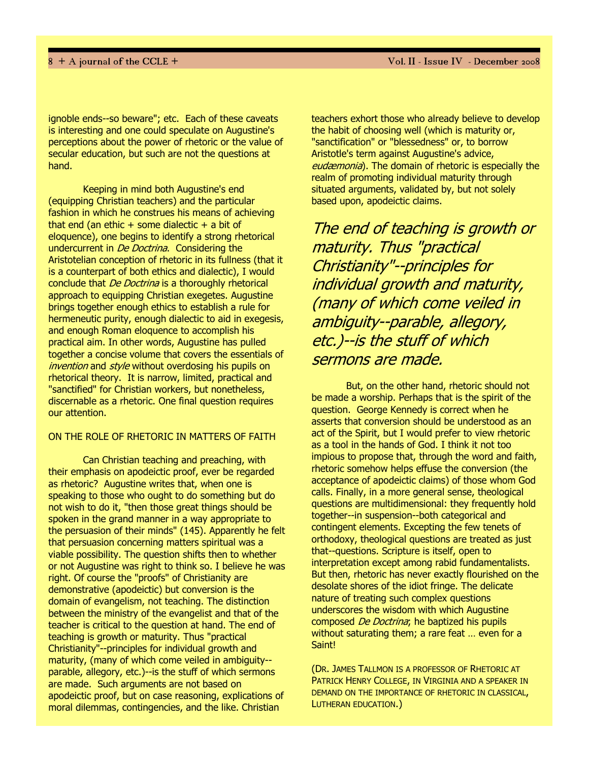ignoble ends--so beware"; etc. Each of these caveats is interesting and one could speculate on Augustine's perceptions about the power of rhetoric or the value of secular education, but such are not the questions at hand.

Keeping in mind both Augustine's end (equipping Christian teachers) and the particular fashion in which he construes his means of achieving that end (an ethic  $+$  some dialectic  $+$  a bit of eloquence), one begins to identify a strong rhetorical undercurrent in *De Doctrina*. Considering the Aristotelian conception of rhetoric in its fullness (that it is a counterpart of both ethics and dialectic), I would conclude that *De Doctrina* is a thoroughly rhetorical approach to equipping Christian exegetes. Augustine brings together enough ethics to establish a rule for hermeneutic purity, enough dialectic to aid in exegesis, and enough Roman eloquence to accomplish his practical aim. In other words, Augustine has pulled together a concise volume that covers the essentials of invention and style without overdosing his pupils on rhetorical theory. It is narrow, limited, practical and "sanctified" for Christian workers, but nonetheless, discernable as a rhetoric. One final question requires our attention.

## ON THE ROLE OF RHETORIC IN MATTERS OF FAITH

Can Christian teaching and preaching, with their emphasis on apodeictic proof, ever be regarded as rhetoric? Augustine writes that, when one is speaking to those who ought to do something but do not wish to do it, "then those great things should be spoken in the grand manner in a way appropriate to the persuasion of their minds" (145). Apparently he felt that persuasion concerning matters spiritual was a viable possibility. The question shifts then to whether or not Augustine was right to think so. I believe he was right. Of course the "proofs" of Christianity are demonstrative (apodeictic) but conversion is the domain of evangelism, not teaching. The distinction between the ministry of the evangelist and that of the teacher is critical to the question at hand. The end of teaching is growth or maturity. Thus "practical Christianity"--principles for individual growth and maturity, (many of which come veiled in ambiguity- parable, allegory, etc.)--is the stuff of which sermons are made. Such arguments are not based on apodeictic proof, but on case reasoning, explications of moral dilemmas, contingencies, and the like. Christian

teachers exhort those who already believe to develop the habit of choosing well (which is maturity or, "sanctification" or "blessedness" or, to borrow Aristotle's term against Augustine's advice, eudæmonia). The domain of rhetoric is especially the realm of promoting individual maturity through situated arguments, validated by, but not solely based upon, apodeictic claims.

The end of teaching is growth or maturity. Thus "practical Christianity"--principles for individual growth and maturity, (many of which come veiled in ambiguity--parable, allegory, etc.)--is the stuff of which sermons are made.

But, on the other hand, rhetoric should not be made a worship. Perhaps that is the spirit of the question. George Kennedy is correct when he asserts that conversion should be understood as an act of the Spirit, but I would prefer to view rhetoric as a tool in the hands of God. I think it not too impious to propose that, through the word and faith, rhetoric somehow helps effuse the conversion (the acceptance of apodeictic claims) of those whom God calls. Finally, in a more general sense, theological questions are multidimensional: they frequently hold together--in suspension--both categorical and contingent elements. Excepting the few tenets of orthodoxy, theological questions are treated as just that--questions. Scripture is itself, open to interpretation except among rabid fundamentalists. But then, rhetoric has never exactly flourished on the desolate shores of the idiot fringe. The delicate nature of treating such complex questions underscores the wisdom with which Augustine composed *De Doctrina*; he baptized his pupils without saturating them; a rare feat … even for a Saint!

(DR. JAMES TALLMON IS A PROFESSOR OF RHETORIC AT PATRICK HENRY COLLEGE, IN VIRGINIA AND A SPEAKER IN DEMAND ON THE IMPORTANCE OF RHETORIC IN CLASSICAL, LUTHERAN EDUCATION.)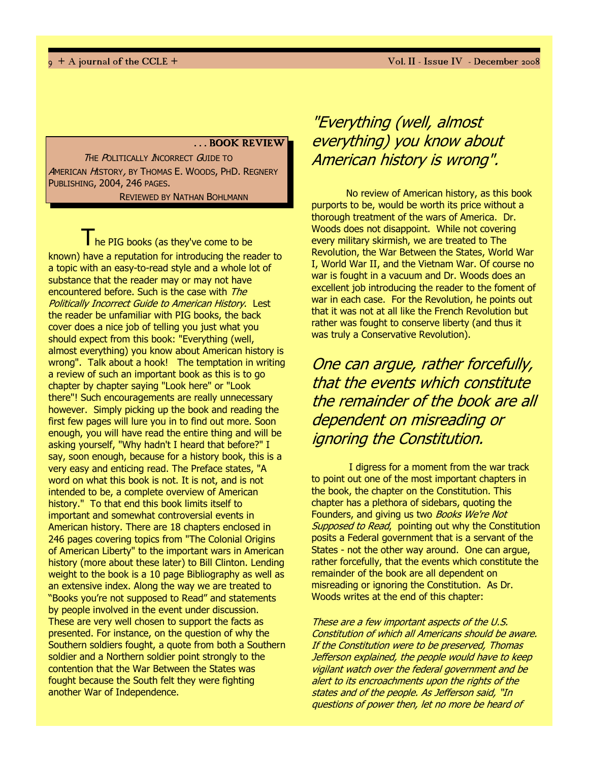#### . . . BOOK REVIEW

THE POLITICALLY INCORRECT GUIDE TO AMERICAN HISTORY, BY THOMAS E. WOODS, PHD. REGNERY PUBLISHING, 2004, 246 PAGES.

REVIEWED BY NATHAN BOHLMANN

The PIG books (as they've come to be known) have a reputation for introducing the reader to a topic with an easy-to-read style and a whole lot of substance that the reader may or may not have encountered before. Such is the case with The Politically Incorrect Guide to American History. Lest the reader be unfamiliar with PIG books, the back cover does a nice job of telling you just what you should expect from this book: "Everything (well, almost everything) you know about American history is wrong". Talk about a hook! The temptation in writing a review of such an important book as this is to go chapter by chapter saying "Look here" or "Look there"! Such encouragements are really unnecessary however. Simply picking up the book and reading the first few pages will lure you in to find out more. Soon enough, you will have read the entire thing and will be asking yourself, "Why hadn't I heard that before?" I say, soon enough, because for a history book, this is a very easy and enticing read. The Preface states, "A word on what this book is not. It is not, and is not intended to be, a complete overview of American history." To that end this book limits itself to important and somewhat controversial events in American history. There are 18 chapters enclosed in 246 pages covering topics from "The Colonial Origins of American Liberty" to the important wars in American history (more about these later) to Bill Clinton. Lending weight to the book is a 10 page Bibliography as well as an extensive index. Along the way we are treated to "Books you're not supposed to Read" and statements by people involved in the event under discussion. These are very well chosen to support the facts as presented. For instance, on the question of why the Southern soldiers fought, a quote from both a Southern soldier and a Northern soldier point strongly to the contention that the War Between the States was fought because the South felt they were fighting another War of Independence.

# "Everything (well, almost everything) you know about American history is wrong".

No review of American history, as this book purports to be, would be worth its price without a thorough treatment of the wars of America. Dr. Woods does not disappoint. While not covering every military skirmish, we are treated to The Revolution, the War Between the States, World War I, World War II, and the Vietnam War. Of course no war is fought in a vacuum and Dr. Woods does an excellent job introducing the reader to the foment of war in each case. For the Revolution, he points out that it was not at all like the French Revolution but rather was fought to conserve liberty (and thus it was truly a Conservative Revolution).

One can argue, rather forcefully, that the events which constitute the remainder of the book are all dependent on misreading or ignoring the Constitution.

 I digress for a moment from the war track to point out one of the most important chapters in the book, the chapter on the Constitution. This chapter has a plethora of sidebars, quoting the Founders, and giving us two Books We're Not Supposed to Read, pointing out why the Constitution posits a Federal government that is a servant of the States - not the other way around. One can argue, rather forcefully, that the events which constitute the remainder of the book are all dependent on misreading or ignoring the Constitution. As Dr. Woods writes at the end of this chapter:

These are a few important aspects of the U.S. Constitution of which all Americans should be aware. If the Constitution were to be preserved, Thomas Jefferson explained, the people would have to keep vigilant watch over the federal government and be alert to its encroachments upon the rights of the states and of the people. As Jefferson said, "In questions of power then, let no more be heard of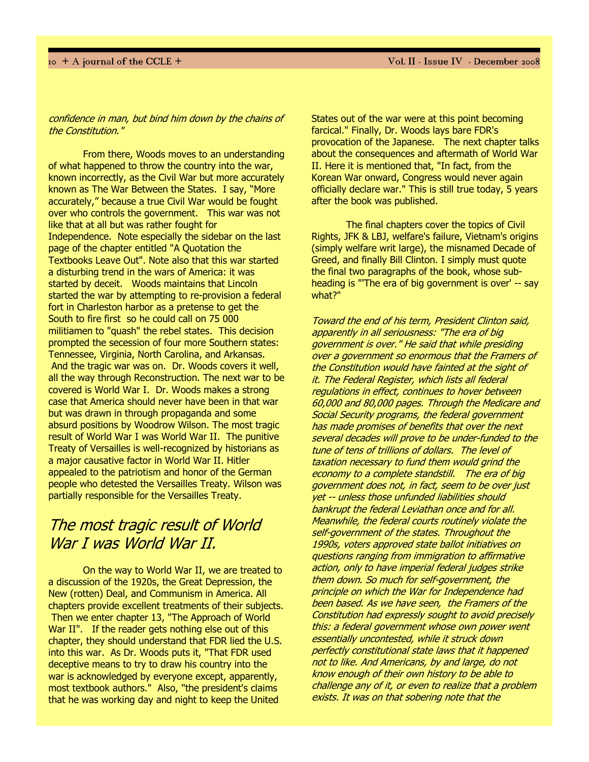### confidence in man, but bind him down by the chains of the Constitution."

From there, Woods moves to an understanding of what happened to throw the country into the war, known incorrectly, as the Civil War but more accurately known as The War Between the States. I say, "More accurately," because a true Civil War would be fought over who controls the government. This war was not like that at all but was rather fought for Independence. Note especially the sidebar on the last page of the chapter entitled "A Quotation the Textbooks Leave Out". Note also that this war started a disturbing trend in the wars of America: it was started by deceit. Woods maintains that Lincoln started the war by attempting to re-provision a federal fort in Charleston harbor as a pretense to get the South to fire first so he could call on 75 000 militiamen to "quash" the rebel states. This decision prompted the secession of four more Southern states: Tennessee, Virginia, North Carolina, and Arkansas. And the tragic war was on. Dr. Woods covers it well, all the way through Reconstruction. The next war to be covered is World War I. Dr. Woods makes a strong case that America should never have been in that war but was drawn in through propaganda and some absurd positions by Woodrow Wilson. The most tragic result of World War I was World War II. The punitive Treaty of Versailles is well-recognized by historians as a major causative factor in World War II. Hitler appealed to the patriotism and honor of the German people who detested the Versailles Treaty. Wilson was partially responsible for the Versailles Treaty.

# The most tragic result of World War I was World War II.

On the way to World War II, we are treated to a discussion of the 1920s, the Great Depression, the New (rotten) Deal, and Communism in America. All chapters provide excellent treatments of their subjects. Then we enter chapter 13, "The Approach of World War II". If the reader gets nothing else out of this chapter, they should understand that FDR lied the U.S. into this war. As Dr. Woods puts it, "That FDR used deceptive means to try to draw his country into the war is acknowledged by everyone except, apparently, most textbook authors." Also, "the president's claims that he was working day and night to keep the United

States out of the war were at this point becoming farcical." Finally, Dr. Woods lays bare FDR's provocation of the Japanese. The next chapter talks about the consequences and aftermath of World War II. Here it is mentioned that, "In fact, from the Korean War onward, Congress would never again officially declare war." This is still true today, 5 years after the book was published.

The final chapters cover the topics of Civil Rights, JFK & LBJ, welfare's failure, Vietnam's origins (simply welfare writ large), the misnamed Decade of Greed, and finally Bill Clinton. I simply must quote the final two paragraphs of the book, whose subheading is "'The era of big government is over' -- say what?"

Toward the end of his term, President Clinton said, apparently in all seriousness: "The era of big government is over." He said that while presiding over a government so enormous that the Framers of the Constitution would have fainted at the sight of it. The Federal Register, which lists all federal regulations in effect, continues to hover between 60,000 and 80,000 pages. Through the Medicare and Social Security programs, the federal government has made promises of benefits that over the next several decades will prove to be under-funded to the tune of tens of trillions of dollars. The level of taxation necessary to fund them would grind the economy to a complete standstill. The era of big government does not, in fact, seem to be over just yet -- unless those unfunded liabilities should bankrupt the federal Leviathan once and for all. Meanwhile, the federal courts routinely violate the self-government of the states. Throughout the 1990s, voters approved state ballot initiatives on questions ranging from immigration to affirmative action, only to have imperial federal judges strike them down. So much for self-government, the principle on which the War for Independence had been based. As we have seen, the Framers of the Constitution had expressly sought to avoid precisely this: a federal government whose own power went essentially uncontested, while it struck down perfectly constitutional state laws that it happened not to like. And Americans, by and large, do not know enough of their own history to be able to challenge any of it, or even to realize that a problem exists. It was on that sobering note that the